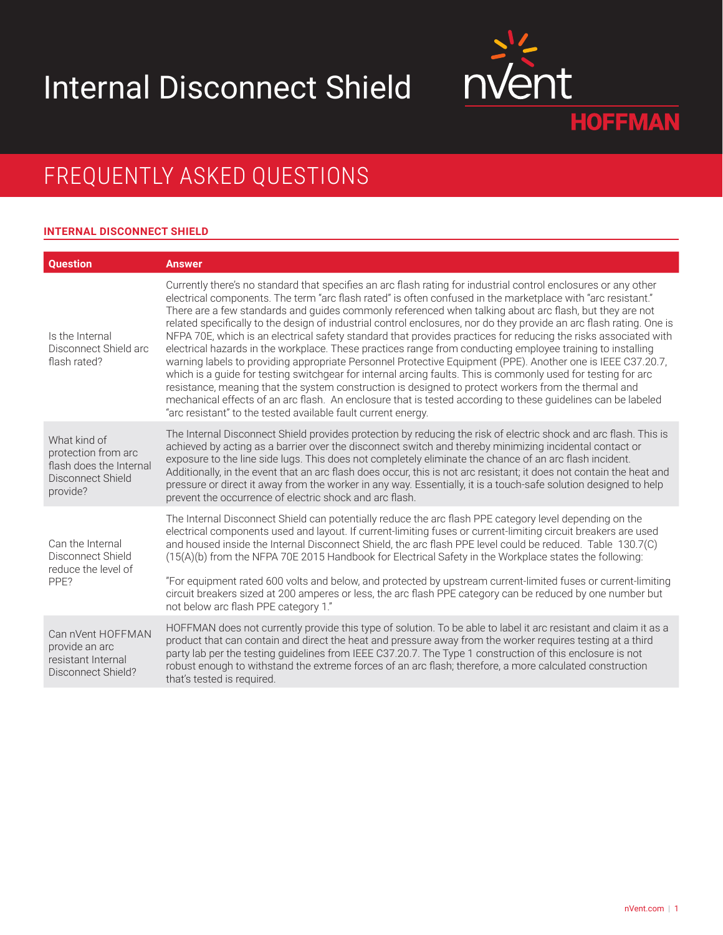# Internal Disconnect Shield



## FREQUENTLY ASKED QUESTIONS

### **INTERNAL DISCONNECT SHIELD**

| <b>Ouestion</b>                                                                                 | <b>Answer</b>                                                                                                                                                                                                                                                                                                                                                                                                                                                                                                                                                                                                                                                                                                                                                                                                                                                                                                                                                                                                                                                                                                                                                                                                                |
|-------------------------------------------------------------------------------------------------|------------------------------------------------------------------------------------------------------------------------------------------------------------------------------------------------------------------------------------------------------------------------------------------------------------------------------------------------------------------------------------------------------------------------------------------------------------------------------------------------------------------------------------------------------------------------------------------------------------------------------------------------------------------------------------------------------------------------------------------------------------------------------------------------------------------------------------------------------------------------------------------------------------------------------------------------------------------------------------------------------------------------------------------------------------------------------------------------------------------------------------------------------------------------------------------------------------------------------|
| Is the Internal<br>Disconnect Shield arc<br>flash rated?                                        | Currently there's no standard that specifies an arc flash rating for industrial control enclosures or any other<br>electrical components. The term "arc flash rated" is often confused in the marketplace with "arc resistant."<br>There are a few standards and guides commonly referenced when talking about arc flash, but they are not<br>related specifically to the design of industrial control enclosures, nor do they provide an arc flash rating. One is<br>NFPA 70E, which is an electrical safety standard that provides practices for reducing the risks associated with<br>electrical hazards in the workplace. These practices range from conducting employee training to installing<br>warning labels to providing appropriate Personnel Protective Equipment (PPE). Another one is IEEE C37.20.7,<br>which is a guide for testing switchgear for internal arcing faults. This is commonly used for testing for arc<br>resistance, meaning that the system construction is designed to protect workers from the thermal and<br>mechanical effects of an arc flash. An enclosure that is tested according to these guidelines can be labeled<br>"arc resistant" to the tested available fault current energy. |
| What kind of<br>protection from arc<br>flash does the Internal<br>Disconnect Shield<br>provide? | The Internal Disconnect Shield provides protection by reducing the risk of electric shock and arc flash. This is<br>achieved by acting as a barrier over the disconnect switch and thereby minimizing incidental contact or<br>exposure to the line side lugs. This does not completely eliminate the chance of an arc flash incident.<br>Additionally, in the event that an arc flash does occur, this is not arc resistant; it does not contain the heat and<br>pressure or direct it away from the worker in any way. Essentially, it is a touch-safe solution designed to help<br>prevent the occurrence of electric shock and arc flash.                                                                                                                                                                                                                                                                                                                                                                                                                                                                                                                                                                                |
| Can the Internal<br>Disconnect Shield<br>reduce the level of<br>PPF <sub>2</sub>                | The Internal Disconnect Shield can potentially reduce the arc flash PPE category level depending on the<br>electrical components used and layout. If current-limiting fuses or current-limiting circuit breakers are used<br>and housed inside the Internal Disconnect Shield, the arc flash PPE level could be reduced. Table 130.7(C)<br>(15(A)(b) from the NFPA 70E 2015 Handbook for Electrical Safety in the Workplace states the following:                                                                                                                                                                                                                                                                                                                                                                                                                                                                                                                                                                                                                                                                                                                                                                            |
|                                                                                                 | "For equipment rated 600 volts and below, and protected by upstream current-limited fuses or current-limiting<br>circuit breakers sized at 200 amperes or less, the arc flash PPE category can be reduced by one number but<br>not below arc flash PPE category 1."                                                                                                                                                                                                                                                                                                                                                                                                                                                                                                                                                                                                                                                                                                                                                                                                                                                                                                                                                          |
| Can nVent HOFFMAN<br>provide an arc<br>resistant Internal<br>Disconnect Shield?                 | HOFFMAN does not currently provide this type of solution. To be able to label it arc resistant and claim it as a<br>product that can contain and direct the heat and pressure away from the worker requires testing at a third<br>party lab per the testing guidelines from IEEE C37.20.7. The Type 1 construction of this enclosure is not<br>robust enough to withstand the extreme forces of an arc flash; therefore, a more calculated construction<br>that's tested is required.                                                                                                                                                                                                                                                                                                                                                                                                                                                                                                                                                                                                                                                                                                                                        |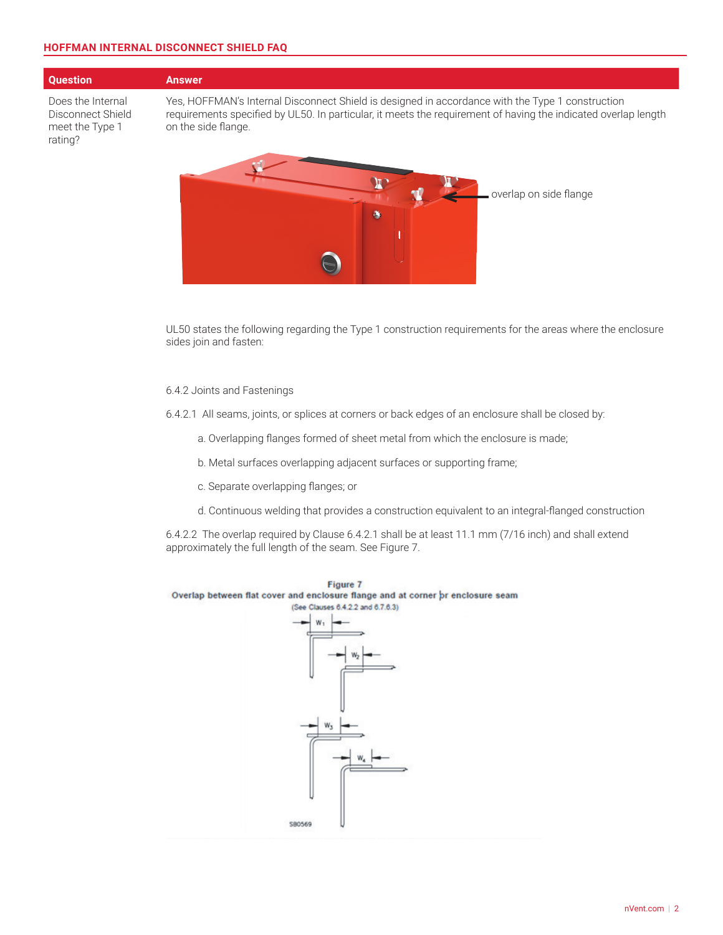### **HOFFMAN INTERNAL DISCONNECT SHIELD FAQ**

### **Question Answer**

Does the Internal Disconnect Shield meet the Type 1 rating?

Yes, HOFFMAN's Internal Disconnect Shield is designed in accordance with the Type 1 construction requirements specified by UL50. In particular, it meets the requirement of having the indicated overlap length on the side flange.



UL50 states the following regarding the Type 1 construction requirements for the areas where the enclosure sides join and fasten:

### 6.4.2 Joints and Fastenings

6.4.2.1 All seams, joints, or splices at corners or back edges of an enclosure shall be closed by:

- a. Overlapping flanges formed of sheet metal from which the enclosure is made;
- b. Metal surfaces overlapping adjacent surfaces or supporting frame;
- c. Separate overlapping flanges; or
- d. Continuous welding that provides a construction equivalent to an integral-flanged construction

6.4.2.2 The overlap required by Clause 6.4.2.1 shall be at least 11.1 mm (7/16 inch) and shall extend approximately the full length of the seam. See Figure 7.